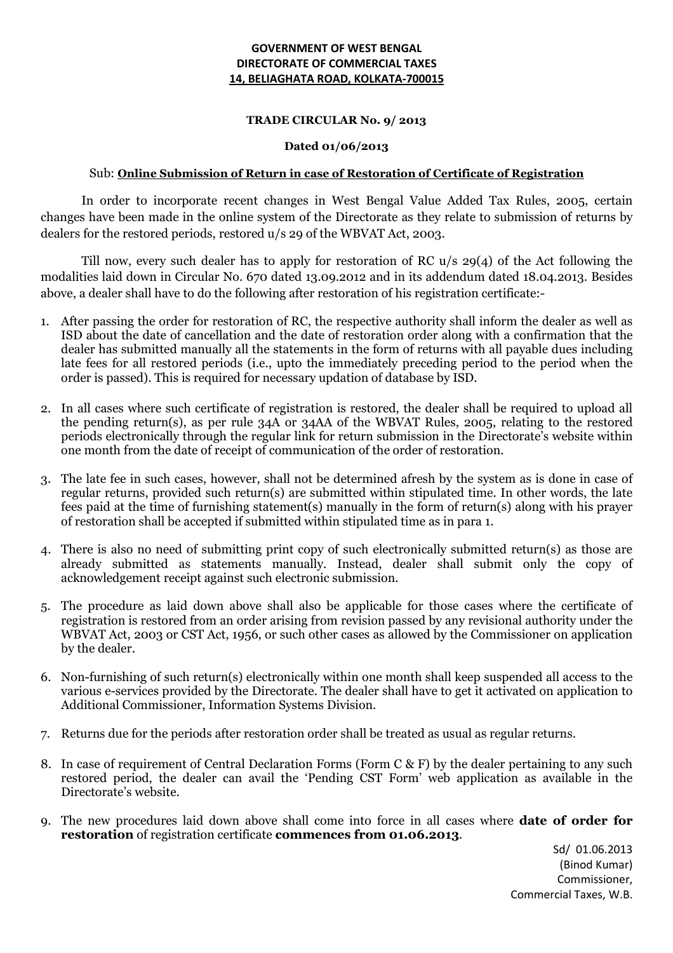## **GOVERNMENT OF WEST BENGAL DIRECTORATE OF COMMERCIAL TAXES 14, BELIAGHATA ROAD, KOLKATA-700015**

## **TRADE CIRCULAR No. 9/ 2013**

## **Dated 01/06/2013**

## Sub: **Online Submission of Return in case of Restoration of Certificate of Registration**

In order to incorporate recent changes in West Bengal Value Added Tax Rules, 2005, certain changes have been made in the online system of the Directorate as they relate to submission of returns by dealers for the restored periods, restored u/s 29 of the WBVAT Act, 2003.

Till now, every such dealer has to apply for restoration of RC u/s 29(4) of the Act following the modalities laid down in Circular No. 670 dated 13.09.2012 and in its addendum dated 18.04.2013. Besides above, a dealer shall have to do the following after restoration of his registration certificate:-

- 1. After passing the order for restoration of RC, the respective authority shall inform the dealer as well as ISD about the date of cancellation and the date of restoration order along with a confirmation that the dealer has submitted manually all the statements in the form of returns with all payable dues including late fees for all restored periods (i.e., upto the immediately preceding period to the period when the order is passed). This is required for necessary updation of database by ISD.
- 2. In all cases where such certificate of registration is restored, the dealer shall be required to upload all the pending return(s), as per rule 34A or 34AA of the WBVAT Rules, 2005, relating to the restored periods electronically through the regular link for return submission in the Directorate's website within one month from the date of receipt of communication of the order of restoration.
- 3. The late fee in such cases, however, shall not be determined afresh by the system as is done in case of regular returns, provided such return(s) are submitted within stipulated time. In other words, the late fees paid at the time of furnishing statement(s) manually in the form of return(s) along with his prayer of restoration shall be accepted if submitted within stipulated time as in para 1.
- 4. There is also no need of submitting print copy of such electronically submitted return(s) as those are already submitted as statements manually. Instead, dealer shall submit only the copy of acknowledgement receipt against such electronic submission.
- 5. The procedure as laid down above shall also be applicable for those cases where the certificate of registration is restored from an order arising from revision passed by any revisional authority under the WBVAT Act, 2003 or CST Act, 1956, or such other cases as allowed by the Commissioner on application by the dealer.
- 6. Non-furnishing of such return(s) electronically within one month shall keep suspended all access to the various e-services provided by the Directorate. The dealer shall have to get it activated on application to Additional Commissioner, Information Systems Division.
- 7. Returns due for the periods after restoration order shall be treated as usual as regular returns.
- 8. In case of requirement of Central Declaration Forms (Form C & F) by the dealer pertaining to any such restored period, the dealer can avail the 'Pending CST Form' web application as available in the Directorate's website.
- 9. The new procedures laid down above shall come into force in all cases where **date of order for restoration** of registration certificate **commences from 01.06.2013**.